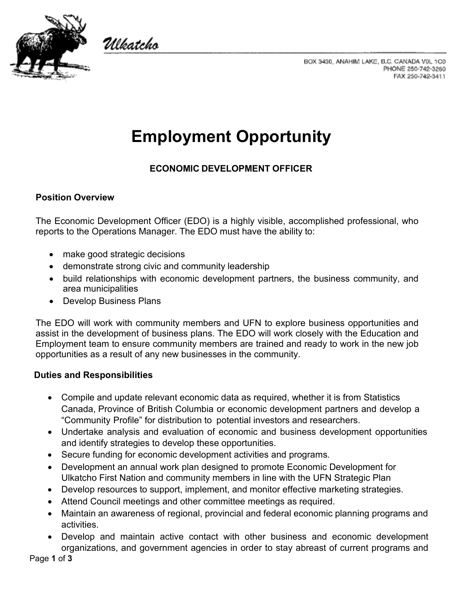

Ulkatcho



# **Employment Opportunity**

## **ECONOMIC DEVELOPMENT OFFICER**

## **Position Overview**

The Economic Development Officer (EDO) is a highly visible, accomplished professional, who reports to the Operations Manager. The EDO must have the ability to:

- make good strategic decisions
- demonstrate strong civic and community leadership
- build relationships with economic development partners, the business community, and area municipalities
- Develop Business Plans

The EDO will work with community members and UFN to explore business opportunities and assist in the development of business plans. The EDO will work closely with the Education and Employment team to ensure community members are trained and ready to work in the new job opportunities as a result of any new businesses in the community.

## **Duties and Responsibilities**

- Compile and update relevant economic data as required, whether it is from Statistics Canada, Province of British Columbia or economic development partners and develop a "Community Profile" for distribution to potential investors and researchers.
- Undertake analysis and evaluation of economic and business development opportunities and identify strategies to develop these opportunities.
- Secure funding for economic development activities and programs.
- Development an annual work plan designed to promote Economic Development for Ulkatcho First Nation and community members in line with the UFN Strategic Plan
- Develop resources to support, implement, and monitor effective marketing strategies.
- Attend Council meetings and other committee meetings as required.
- Maintain an awareness of regional, provincial and federal economic planning programs and activities.
- Develop and maintain active contact with other business and economic development organizations, and government agencies in order to stay abreast of current programs and

Page **1** of **3**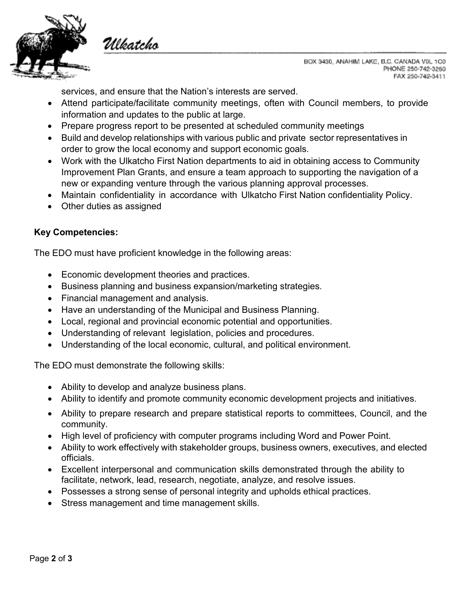

Ulkatcho

BOX 3430, ANAHIM LAKE, B.C. CANADA VOL 1C0 PHONE 250-742-3260 FAX 250-742-3411

services, and ensure that the Nation's interests are served.

- Attend participate/facilitate community meetings, often with Council members, to provide information and updates to the public at large.
- Prepare progress report to be presented at scheduled community meetings
- Build and develop relationships with various public and private sector representatives in order to grow the local economy and support economic goals.
- Work with the Ulkatcho First Nation departments to aid in obtaining access to Community Improvement Plan Grants, and ensure a team approach to supporting the navigation of a new or expanding venture through the various planning approval processes.
- Maintain confidentiality in accordance with Ulkatcho First Nation confidentiality Policy.
- Other duties as assigned

#### **Key Competencies:**

The EDO must have proficient knowledge in the following areas:

- Economic development theories and practices.
- Business planning and business expansion/marketing strategies.
- Financial management and analysis.
- Have an understanding of the Municipal and Business Planning.
- Local, regional and provincial economic potential and opportunities.
- Understanding of relevant legislation, policies and procedures.
- Understanding of the local economic, cultural, and political environment.

The EDO must demonstrate the following skills:

- Ability to develop and analyze business plans.
- Ability to identify and promote community economic development projects and initiatives.
- Ability to prepare research and prepare statistical reports to committees, Council, and the community.
- High level of proficiency with computer programs including Word and Power Point.
- Ability to work effectively with stakeholder groups, business owners, executives, and elected officials.
- Excellent interpersonal and communication skills demonstrated through the ability to facilitate, network, lead, research, negotiate, analyze, and resolve issues.
- Possesses a strong sense of personal integrity and upholds ethical practices.
- Stress management and time management skills.